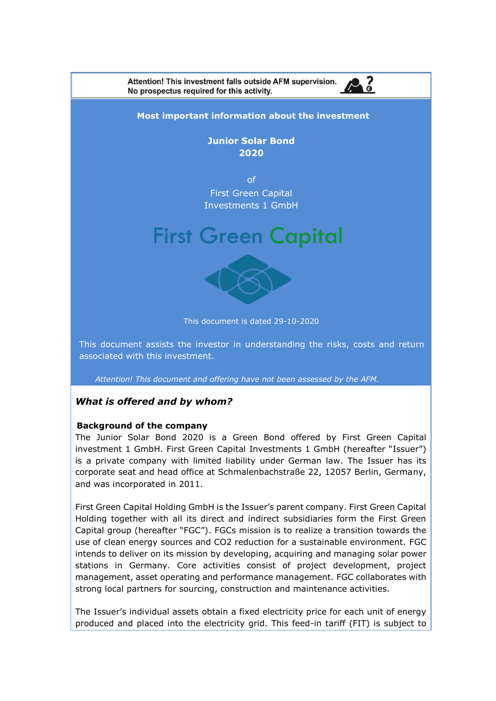Attention! This investment falls outside AFM supervision. No prospectus required for this activity.



### **Most important information about the investment**

#### **Junior Solar Bond 2020**

of First Green Capital Investments 1 GmbH

# **First Green Capital**

This document is dated 29-10-2020

This document assists the investor in understanding the risks, costs and return associated with this investment.

*Attention! This document and offering have not been assessed by the AFM.* 

#### *What is offered and by whom?*

#### **Background of the company**

The Junior Solar Bond 2020 is a Green Bond offered by First Green Capital investment 1 GmbH. First Green Capital Investments 1 GmbH (hereafter "Issuer") is a private company with limited liability under German law. The Issuer has its corporate seat and head office at Schmalenbachstraße 22, 12057 Berlin, Germany, and was incorporated in 2011.

First Green Capital Holding GmbH is the Issuer's parent company. First Green Capital Holding together with all its direct and indirect subsidiaries form the First Green Capital group (hereafter "FGC"). FGCs mission is to realize a transition towards the use of clean energy sources and CO2 reduction for a sustainable environment. FGC intends to deliver on its mission by developing, acquiring and managing solar power stations in Germany. Core activities consist of project development, project management, asset operating and performance management. FGC collaborates with strong local partners for sourcing, construction and maintenance activities.

The Issuer's individual assets obtain a fixed electricity price for each unit of energy produced and placed into the electricity grid. This feed-in tariff (FIT) is subject to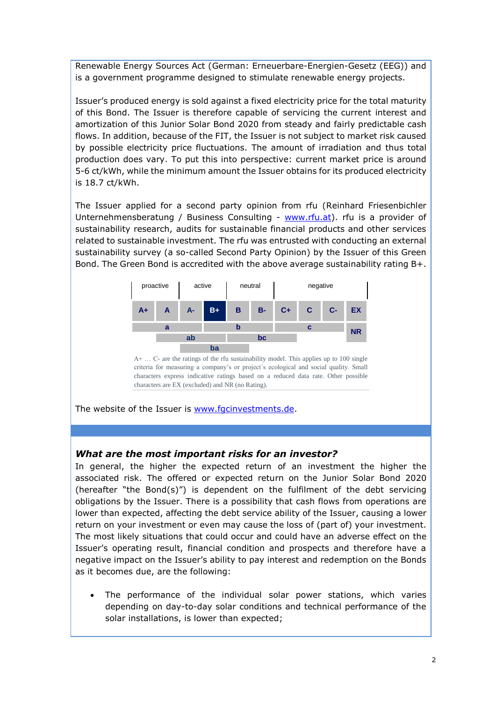Renewable Energy Sources Act (German: Erneuerbare-Energien-Gesetz (EEG)) and is a government programme designed to stimulate renewable energy projects.

Issuer's produced energy is sold against a fixed electricity price for the total maturity of this Bond. The Issuer is therefore capable of servicing the current interest and amortization of this Junior Solar Bond 2020 from steady and fairly predictable cash flows. In addition, because of the FIT, the Issuer is not subject to market risk caused by possible electricity price fluctuations. The amount of irradiation and thus total production does vary. To put this into perspective: current market price is around 5-6 ct/kWh, while the minimum amount the Issuer obtains for its produced electricity is 18.7 ct/kWh.

The Issuer applied for a second party opinion from rfu (Reinhard Friesenbichler Unternehmensberatung / Business Consulting - [www.rfu.at\)](http://www.rfu.at/). rfu is a provider of sustainability research, audits for sustainable financial products and other services related to sustainable investment. The rfu was entrusted with conducting an external sustainability survey (a so-called Second Party Opinion) by the Issuer of this Green Bond. The Green Bond is accredited with the above average sustainability rating B+.



A+ … C- are the ratings of the rfu sustainability model. This applies up to 100 single criteria for measuring a company's or project´s ecological and social quality. Small characters express indicative ratings based on a reduced data rate. Other possible characters are EX (excluded) and NR (no Rating).

The website of the Issuer is [www.fgcinvestments.de.](http://www.fgcinvestments.de/)

# *What are the most important risks for an investor?*

In general, the higher the expected return of an investment the higher the associated risk. The offered or expected return on the Junior Solar Bond 2020 (hereafter "the Bond(s)") is dependent on the fulfilment of the debt servicing obligations by the Issuer. There is a possibility that cash flows from operations are lower than expected, affecting the debt service ability of the Issuer, causing a lower return on your investment or even may cause the loss of (part of) your investment. The most likely situations that could occur and could have an adverse effect on the Issuer's operating result, financial condition and prospects and therefore have a negative impact on the Issuer's ability to pay interest and redemption on the Bonds as it becomes due, are the following:

 The performance of the individual solar power stations, which varies depending on day-to-day solar conditions and technical performance of the solar installations, is lower than expected;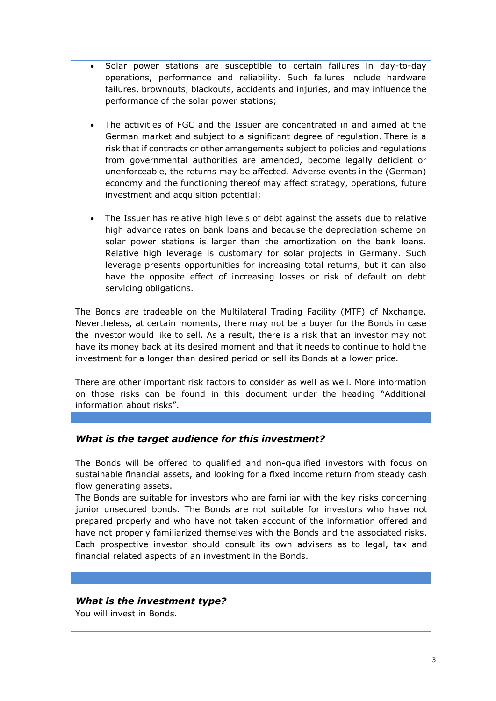- Solar power stations are susceptible to certain failures in day-to-day operations, performance and reliability. Such failures include hardware failures, brownouts, blackouts, accidents and injuries, and may influence the performance of the solar power stations;
- The activities of FGC and the Issuer are concentrated in and aimed at the German market and subject to a significant degree of regulation. There is a risk that if contracts or other arrangements subject to policies and regulations from governmental authorities are amended, become legally deficient or unenforceable, the returns may be affected. Adverse events in the (German) economy and the functioning thereof may affect strategy, operations, future investment and acquisition potential;
- The Issuer has relative high levels of debt against the assets due to relative high advance rates on bank loans and because the depreciation scheme on solar power stations is larger than the amortization on the bank loans. Relative high leverage is customary for solar projects in Germany. Such leverage presents opportunities for increasing total returns, but it can also have the opposite effect of increasing losses or risk of default on debt servicing obligations.

The Bonds are tradeable on the Multilateral Trading Facility (MTF) of Nxchange. Nevertheless, at certain moments, there may not be a buyer for the Bonds in case the investor would like to sell. As a result, there is a risk that an investor may not have its money back at its desired moment and that it needs to continue to hold the investment for a longer than desired period or sell its Bonds at a lower price.

There are other important risk factors to consider as well as well. More information on those risks can be found in this document under the heading "Additional information about risks".

# *What is the target audience for this investment?*

The Bonds will be offered to qualified and non-qualified investors with focus on sustainable financial assets, and looking for a fixed income return from steady cash flow generating assets.

The Bonds are suitable for investors who are familiar with the key risks concerning junior unsecured bonds. The Bonds are not suitable for investors who have not prepared properly and who have not taken account of the information offered and have not properly familiarized themselves with the Bonds and the associated risks. Each prospective investor should consult its own advisers as to legal, tax and financial related aspects of an investment in the Bonds.

# *What is the investment type?*

You will invest in Bonds.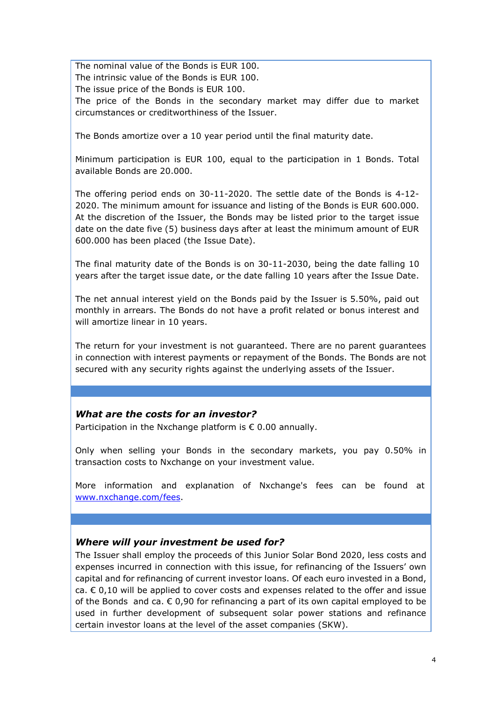The nominal value of the Bonds is EUR 100.

The intrinsic value of the Bonds is EUR 100.

The issue price of the Bonds is EUR 100.

The price of the Bonds in the secondary market may differ due to market circumstances or creditworthiness of the Issuer.

The Bonds amortize over a 10 year period until the final maturity date.

Minimum participation is EUR 100, equal to the participation in 1 Bonds. Total available Bonds are 20.000.

The offering period ends on 30-11-2020. The settle date of the Bonds is 4-12- 2020. The minimum amount for issuance and listing of the Bonds is EUR 600.000. At the discretion of the Issuer, the Bonds may be listed prior to the target issue date on the date five (5) business days after at least the minimum amount of EUR 600.000 has been placed (the Issue Date).

The final maturity date of the Bonds is on 30-11-2030, being the date falling 10 years after the target issue date, or the date falling 10 years after the Issue Date.

The net annual interest yield on the Bonds paid by the Issuer is 5.50%, paid out monthly in arrears. The Bonds do not have a profit related or bonus interest and will amortize linear in 10 years.

The return for your investment is not guaranteed. There are no parent guarantees in connection with interest payments or repayment of the Bonds. The Bonds are not secured with any security rights against the underlying assets of the Issuer.

# *What are the costs for an investor?*

Participation in the Nxchange platform is  $\epsilon$  0.00 annually.

Only when selling your Bonds in the secondary markets, you pay 0.50% in transaction costs to Nxchange on your investment value.

More information and explanation of Nxchange's fees can be found at [www.nxchange.com/fees.](http://www.nxchange.com/fees)

# *Where will your investment be used for?*

The Issuer shall employ the proceeds of this Junior Solar Bond 2020, less costs and expenses incurred in connection with this issue, for refinancing of the Issuers' own capital and for refinancing of current investor loans. Of each euro invested in a Bond, ca.  $\epsilon$  0,10 will be applied to cover costs and expenses related to the offer and issue of the Bonds and ca.  $\epsilon$  0,90 for refinancing a part of its own capital employed to be used in further development of subsequent solar power stations and refinance certain investor loans at the level of the asset companies (SKW).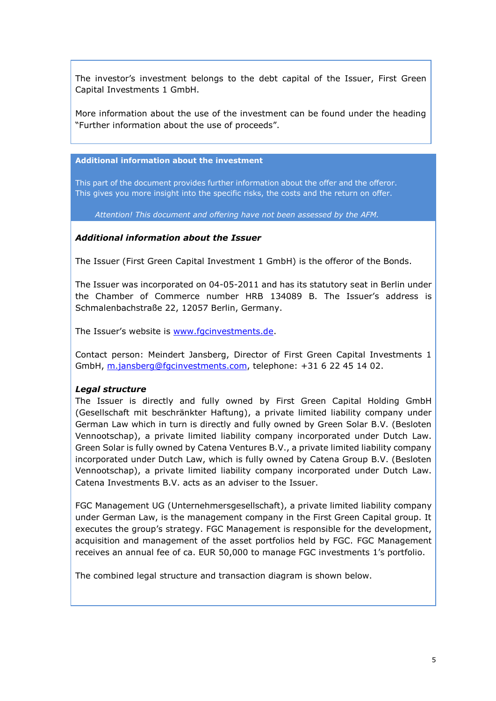The investor's investment belongs to the debt capital of the Issuer, First Green Capital Investments 1 GmbH.

More information about the use of the investment can be found under the heading "Further information about the use of proceeds".

**Additional information about the investment**

This part of the document provides further information about the offer and the offeror. This gives you more insight into the specific risks, the costs and the return on offer.

*Attention! This document and offering have not been assessed by the AFM.* 

#### *Additional information about the Issuer*

The Issuer (First Green Capital Investment 1 GmbH) is the offeror of the Bonds.

The Issuer was incorporated on 04-05-2011 and has its statutory seat in Berlin under the Chamber of Commerce number HRB 134089 B. The Issuer's address is Schmalenbachstraße 22, 12057 Berlin, Germany.

The Issuer's website is [www.fgcinvestments.de.](http://www.fgcinvestments.de/)

Contact person: Meindert Jansberg, Director of First Green Capital Investments 1 GmbH, [m.jansberg@fgcinvestments.com,](mailto:m.jansberg@fgcinvestments.com) telephone: +31 6 22 45 14 02.

#### *Legal structure*

The Issuer is directly and fully owned by First Green Capital Holding GmbH (Gesellschaft mit beschränkter Haftung), a private limited liability company under German Law which in turn is directly and fully owned by Green Solar B.V. (Besloten Vennootschap), a private limited liability company incorporated under Dutch Law. Green Solar is fully owned by Catena Ventures B.V., a private limited liability company incorporated under Dutch Law, which is fully owned by Catena Group B.V. (Besloten Vennootschap), a private limited liability company incorporated under Dutch Law. Catena Investments B.V. acts as an adviser to the Issuer.

FGC Management UG (Unternehmersgesellschaft), a private limited liability company under German Law, is the management company in the First Green Capital group. It executes the group's strategy. FGC Management is responsible for the development, acquisition and management of the asset portfolios held by FGC. FGC Management receives an annual fee of ca. EUR 50,000 to manage FGC investments 1's portfolio.

The combined legal structure and transaction diagram is shown below.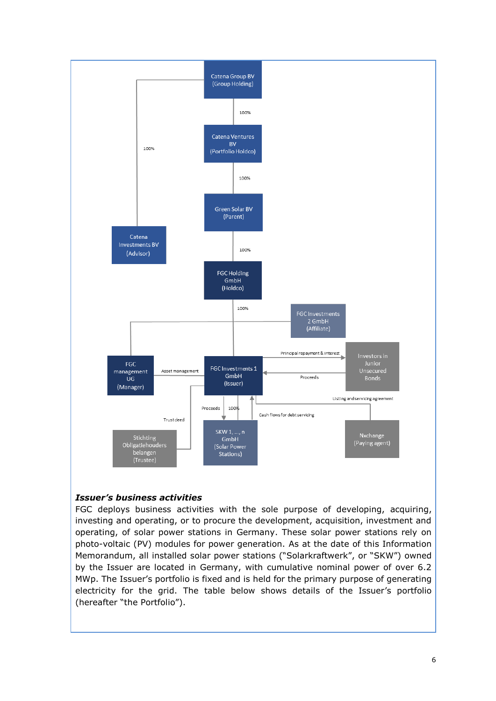

#### *Issuer's business activities*

FGC deploys business activities with the sole purpose of developing, acquiring, investing and operating, or to procure the development, acquisition, investment and operating, of solar power stations in Germany. These solar power stations rely on photo-voltaic (PV) modules for power generation. As at the date of this Information Memorandum, all installed solar power stations ("Solarkraftwerk", or "SKW") owned by the Issuer are located in Germany, with cumulative nominal power of over 6.2 MWp. The Issuer's portfolio is fixed and is held for the primary purpose of generating electricity for the grid. The table below shows details of the Issuer's portfolio (hereafter "the Portfolio").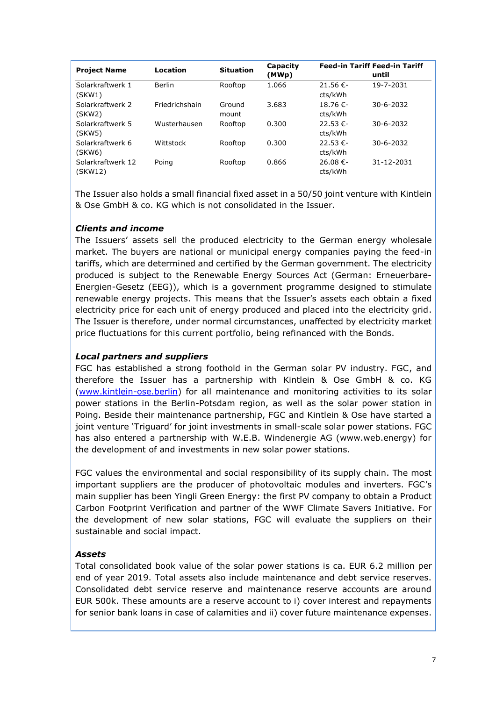| <b>Project Name</b>          | Location       | <b>Situation</b> | Capacity<br>(MWp) |                       | <b>Feed-in Tariff Feed-in Tariff</b><br>until |
|------------------------------|----------------|------------------|-------------------|-----------------------|-----------------------------------------------|
| Solarkraftwerk 1<br>(SKW1)   | Berlin         | Rooftop          | 1.066             | 21.56 €-<br>cts/kWh   | 19-7-2031                                     |
| Solarkraftwerk 2<br>(SKW2)   | Friedrichshain | Ground<br>mount  | 3.683             | 18.76 €-<br>cts/kWh   | 30-6-2032                                     |
| Solarkraftwerk 5<br>(SKW5)   | Wusterhausen   | Rooftop          | 0.300             | $22.53$ €-<br>cts/kWh | 30-6-2032                                     |
| Solarkraftwerk 6<br>(SKW6)   | Wittstock      | Rooftop          | 0.300             | $22.53$ €-<br>cts/kWh | 30-6-2032                                     |
| Solarkraftwerk 12<br>(SKW12) | Poing          | Rooftop          | 0.866             | 26.08€-<br>cts/kWh    | 31-12-2031                                    |

The Issuer also holds a small financial fixed asset in a 50/50 joint venture with Kintlein & Ose GmbH & co. KG which is not consolidated in the Issuer.

#### *Clients and income*

The Issuers' assets sell the produced electricity to the German energy wholesale market. The buyers are national or municipal energy companies paying the feed-in tariffs, which are determined and certified by the German government. The electricity produced is subject to the Renewable Energy Sources Act (German: Erneuerbare-Energien-Gesetz (EEG)), which is a government programme designed to stimulate renewable energy projects. This means that the Issuer's assets each obtain a fixed electricity price for each unit of energy produced and placed into the electricity grid. The Issuer is therefore, under normal circumstances, unaffected by electricity market price fluctuations for this current portfolio, being refinanced with the Bonds.

### *Local partners and suppliers*

FGC has established a strong foothold in the German solar PV industry. FGC, and therefore the Issuer has a partnership with Kintlein & Ose GmbH & co. KG [\(www.kintlein-ose.berlin\)](http://www.kintlein-ose.berlin/) for all maintenance and monitoring activities to its solar power stations in the Berlin-Potsdam region, as well as the solar power station in Poing. Beside their maintenance partnership, FGC and Kintlein & Ose have started a joint venture 'Triguard' for joint investments in small-scale solar power stations. FGC has also entered a partnership with W.E.B. Windenergie AG (www.web.energy) for the development of and investments in new solar power stations.

FGC values the environmental and social responsibility of its supply chain. The most important suppliers are the producer of photovoltaic modules and inverters. FGC's main supplier has been Yingli Green Energy: the first PV company to obtain a Product Carbon Footprint Verification and partner of the WWF Climate Savers Initiative. For the development of new solar stations, FGC will evaluate the suppliers on their sustainable and social impact.

#### *Assets*

Total consolidated book value of the solar power stations is ca. EUR 6.2 million per end of year 2019. Total assets also include maintenance and debt service reserves. Consolidated debt service reserve and maintenance reserve accounts are around EUR 500k. These amounts are a reserve account to i) cover interest and repayments for senior bank loans in case of calamities and ii) cover future maintenance expenses.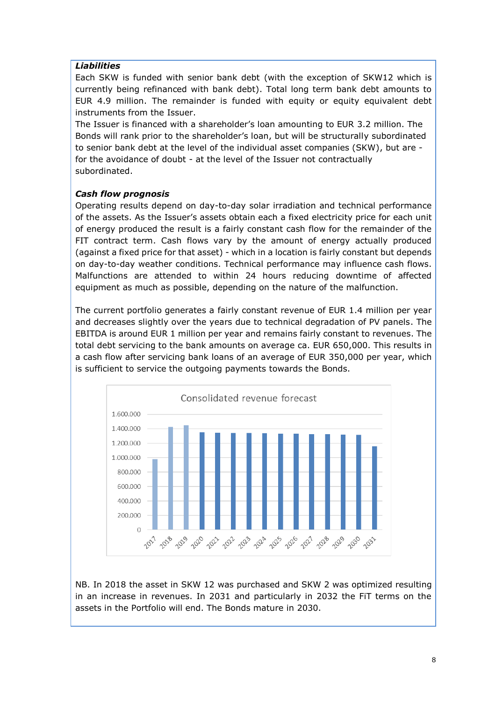#### *Liabilities*

Each SKW is funded with senior bank debt (with the exception of SKW12 which is currently being refinanced with bank debt). Total long term bank debt amounts to EUR 4.9 million. The remainder is funded with equity or equity equivalent debt instruments from the Issuer.

The Issuer is financed with a shareholder's loan amounting to EUR 3.2 million. The Bonds will rank prior to the shareholder's loan, but will be structurally subordinated to senior bank debt at the level of the individual asset companies (SKW), but are for the avoidance of doubt - at the level of the Issuer not contractually subordinated.

#### *Cash flow prognosis*

Operating results depend on day-to-day solar irradiation and technical performance of the assets. As the Issuer's assets obtain each a fixed electricity price for each unit of energy produced the result is a fairly constant cash flow for the remainder of the FIT contract term. Cash flows vary by the amount of energy actually produced (against a fixed price for that asset) - which in a location is fairly constant but depends on day-to-day weather conditions. Technical performance may influence cash flows. Malfunctions are attended to within 24 hours reducing downtime of affected equipment as much as possible, depending on the nature of the malfunction.

The current portfolio generates a fairly constant revenue of EUR 1.4 million per year and decreases slightly over the years due to technical degradation of PV panels. The EBITDA is around EUR 1 million per year and remains fairly constant to revenues. The total debt servicing to the bank amounts on average ca. EUR 650,000. This results in a cash flow after servicing bank loans of an average of EUR 350,000 per year, which is sufficient to service the outgoing payments towards the Bonds.



NB. In 2018 the asset in SKW 12 was purchased and SKW 2 was optimized resulting in an increase in revenues. In 2031 and particularly in 2032 the FiT terms on the assets in the Portfolio will end. The Bonds mature in 2030.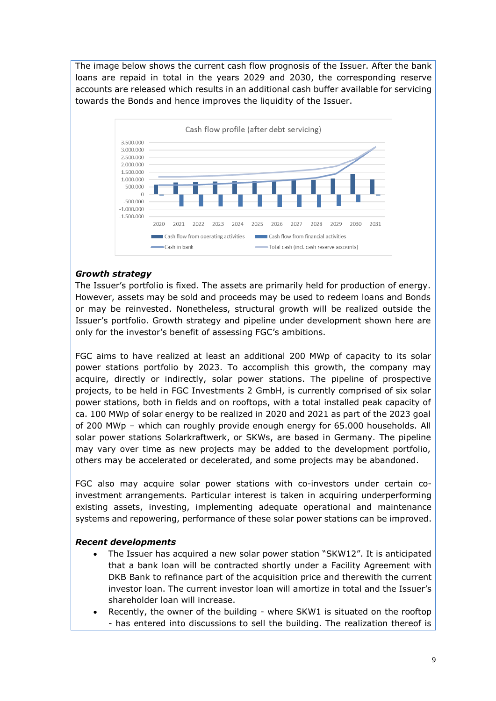The image below shows the current cash flow prognosis of the Issuer. After the bank loans are repaid in total in the years 2029 and 2030, the corresponding reserve accounts are released which results in an additional cash buffer available for servicing towards the Bonds and hence improves the liquidity of the Issuer.



#### *Growth strategy*

The Issuer's portfolio is fixed. The assets are primarily held for production of energy. However, assets may be sold and proceeds may be used to redeem loans and Bonds or may be reinvested. Nonetheless, structural growth will be realized outside the Issuer's portfolio. Growth strategy and pipeline under development shown here are only for the investor's benefit of assessing FGC's ambitions.

FGC aims to have realized at least an additional 200 MWp of capacity to its solar power stations portfolio by 2023. To accomplish this growth, the company may acquire, directly or indirectly, solar power stations. The pipeline of prospective projects, to be held in FGC Investments 2 GmbH, is currently comprised of six solar power stations, both in fields and on rooftops, with a total installed peak capacity of ca. 100 MWp of solar energy to be realized in 2020 and 2021 as part of the 2023 goal of 200 MWp – which can roughly provide enough energy for 65.000 households. All solar power stations Solarkraftwerk, or SKWs, are based in Germany. The pipeline may vary over time as new projects may be added to the development portfolio, others may be accelerated or decelerated, and some projects may be abandoned.

FGC also may acquire solar power stations with co-investors under certain coinvestment arrangements. Particular interest is taken in acquiring underperforming existing assets, investing, implementing adequate operational and maintenance systems and repowering, performance of these solar power stations can be improved.

#### *Recent developments*

- The Issuer has acquired a new solar power station "SKW12". It is anticipated that a bank loan will be contracted shortly under a Facility Agreement with DKB Bank to refinance part of the acquisition price and therewith the current investor loan. The current investor loan will amortize in total and the Issuer's shareholder loan will increase.
- Recently, the owner of the building where SKW1 is situated on the rooftop - has entered into discussions to sell the building. The realization thereof is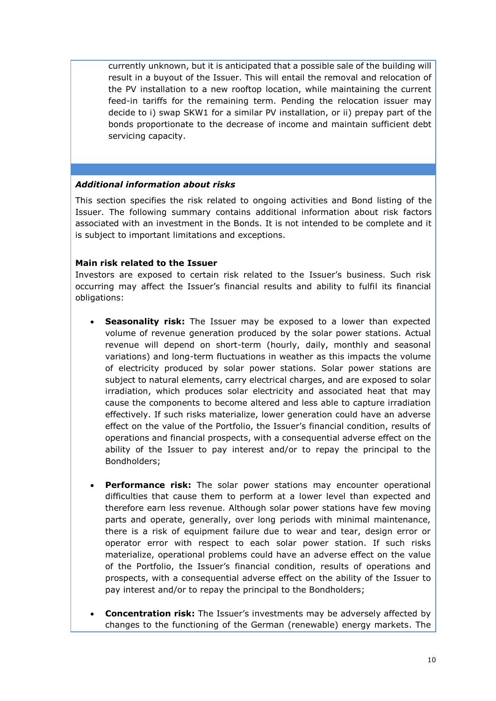currently unknown, but it is anticipated that a possible sale of the building will result in a buyout of the Issuer. This will entail the removal and relocation of the PV installation to a new rooftop location, while maintaining the current feed-in tariffs for the remaining term. Pending the relocation issuer may decide to i) swap SKW1 for a similar PV installation, or ii) prepay part of the bonds proportionate to the decrease of income and maintain sufficient debt servicing capacity.

#### *Additional information about risks*

This section specifies the risk related to ongoing activities and Bond listing of the Issuer. The following summary contains additional information about risk factors associated with an investment in the Bonds. It is not intended to be complete and it is subject to important limitations and exceptions.

#### **Main risk related to the Issuer**

Investors are exposed to certain risk related to the Issuer's business. Such risk occurring may affect the Issuer's financial results and ability to fulfil its financial obligations:

- **Seasonality risk:** The Issuer may be exposed to a lower than expected volume of revenue generation produced by the solar power stations. Actual revenue will depend on short-term (hourly, daily, monthly and seasonal variations) and long-term fluctuations in weather as this impacts the volume of electricity produced by solar power stations. Solar power stations are subject to natural elements, carry electrical charges, and are exposed to solar irradiation, which produces solar electricity and associated heat that may cause the components to become altered and less able to capture irradiation effectively. If such risks materialize, lower generation could have an adverse effect on the value of the Portfolio, the Issuer's financial condition, results of operations and financial prospects, with a consequential adverse effect on the ability of the Issuer to pay interest and/or to repay the principal to the Bondholders;
- **Performance risk:** The solar power stations may encounter operational difficulties that cause them to perform at a lower level than expected and therefore earn less revenue. Although solar power stations have few moving parts and operate, generally, over long periods with minimal maintenance, there is a risk of equipment failure due to wear and tear, design error or operator error with respect to each solar power station. If such risks materialize, operational problems could have an adverse effect on the value of the Portfolio, the Issuer's financial condition, results of operations and prospects, with a consequential adverse effect on the ability of the Issuer to pay interest and/or to repay the principal to the Bondholders;
- **Concentration risk:** The Issuer's investments may be adversely affected by changes to the functioning of the German (renewable) energy markets. The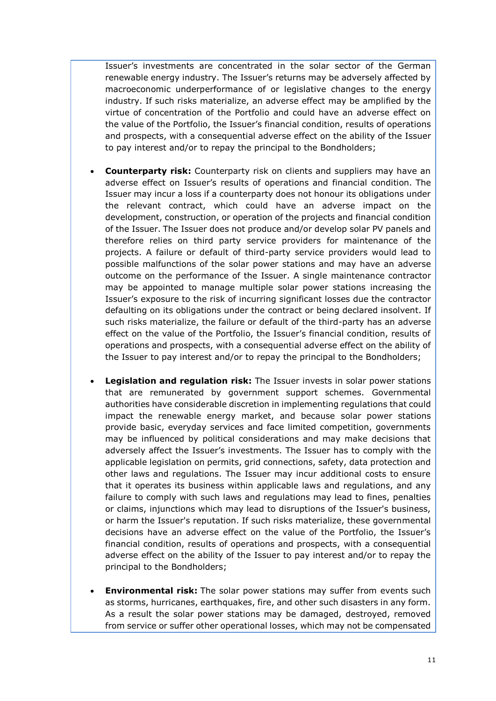Issuer's investments are concentrated in the solar sector of the German renewable energy industry. The Issuer's returns may be adversely affected by macroeconomic underperformance of or legislative changes to the energy industry. If such risks materialize, an adverse effect may be amplified by the virtue of concentration of the Portfolio and could have an adverse effect on the value of the Portfolio, the Issuer's financial condition, results of operations and prospects, with a consequential adverse effect on the ability of the Issuer to pay interest and/or to repay the principal to the Bondholders;

- **Counterparty risk:** Counterparty risk on clients and suppliers may have an adverse effect on Issuer's results of operations and financial condition. The Issuer may incur a loss if a counterparty does not honour its obligations under the relevant contract, which could have an adverse impact on the development, construction, or operation of the projects and financial condition of the Issuer. The Issuer does not produce and/or develop solar PV panels and therefore relies on third party service providers for maintenance of the projects. A failure or default of third-party service providers would lead to possible malfunctions of the solar power stations and may have an adverse outcome on the performance of the Issuer. A single maintenance contractor may be appointed to manage multiple solar power stations increasing the Issuer's exposure to the risk of incurring significant losses due the contractor defaulting on its obligations under the contract or being declared insolvent. If such risks materialize, the failure or default of the third-party has an adverse effect on the value of the Portfolio, the Issuer's financial condition, results of operations and prospects, with a consequential adverse effect on the ability of the Issuer to pay interest and/or to repay the principal to the Bondholders;
- **Legislation and regulation risk:** The Issuer invests in solar power stations that are remunerated by government support schemes. Governmental authorities have considerable discretion in implementing regulations that could impact the renewable energy market, and because solar power stations provide basic, everyday services and face limited competition, governments may be influenced by political considerations and may make decisions that adversely affect the Issuer's investments. The Issuer has to comply with the applicable legislation on permits, grid connections, safety, data protection and other laws and regulations. The Issuer may incur additional costs to ensure that it operates its business within applicable laws and regulations, and any failure to comply with such laws and regulations may lead to fines, penalties or claims, injunctions which may lead to disruptions of the Issuer's business, or harm the Issuer's reputation. If such risks materialize, these governmental decisions have an adverse effect on the value of the Portfolio, the Issuer's financial condition, results of operations and prospects, with a consequential adverse effect on the ability of the Issuer to pay interest and/or to repay the principal to the Bondholders;
- **Environmental risk:** The solar power stations may suffer from events such as storms, hurricanes, earthquakes, fire, and other such disasters in any form. As a result the solar power stations may be damaged, destroyed, removed from service or suffer other operational losses, which may not be compensated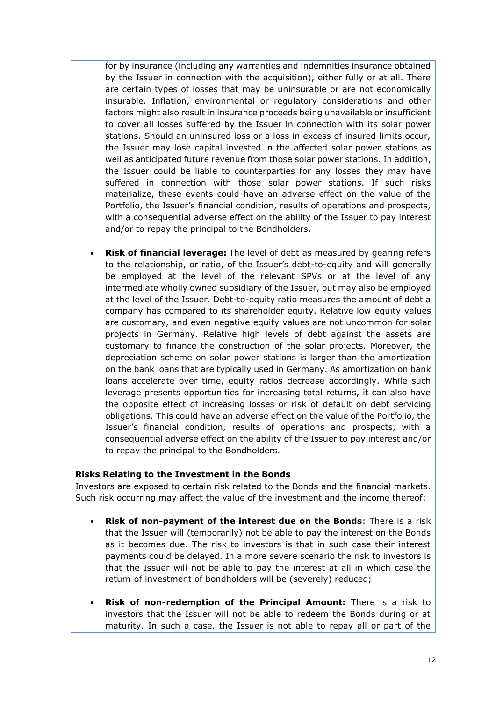for by insurance (including any warranties and indemnities insurance obtained by the Issuer in connection with the acquisition), either fully or at all. There are certain types of losses that may be uninsurable or are not economically insurable. Inflation, environmental or regulatory considerations and other factors might also result in insurance proceeds being unavailable or insufficient to cover all losses suffered by the Issuer in connection with its solar power stations. Should an uninsured loss or a loss in excess of insured limits occur, the Issuer may lose capital invested in the affected solar power stations as well as anticipated future revenue from those solar power stations. In addition, the Issuer could be liable to counterparties for any losses they may have suffered in connection with those solar power stations. If such risks materialize, these events could have an adverse effect on the value of the Portfolio, the Issuer's financial condition, results of operations and prospects, with a consequential adverse effect on the ability of the Issuer to pay interest and/or to repay the principal to the Bondholders.

 **Risk of financial leverage:** The level of debt as measured by gearing refers to the relationship, or ratio, of the Issuer's debt-to-equity and will generally be employed at the level of the relevant SPVs or at the level of any intermediate wholly owned subsidiary of the Issuer, but may also be employed at the level of the Issuer. Debt-to-equity ratio measures the amount of debt a company has compared to its shareholder equity. Relative low equity values are customary, and even negative equity values are not uncommon for solar projects in Germany. Relative high levels of debt against the assets are customary to finance the construction of the solar projects. Moreover, the depreciation scheme on solar power stations is larger than the amortization on the bank loans that are typically used in Germany. As amortization on bank loans accelerate over time, equity ratios decrease accordingly. While such leverage presents opportunities for increasing total returns, it can also have the opposite effect of increasing losses or risk of default on debt servicing obligations. This could have an adverse effect on the value of the Portfolio, the Issuer's financial condition, results of operations and prospects, with a consequential adverse effect on the ability of the Issuer to pay interest and/or to repay the principal to the Bondholders.

#### **Risks Relating to the Investment in the Bonds**

Investors are exposed to certain risk related to the Bonds and the financial markets. Such risk occurring may affect the value of the investment and the income thereof:

- **Risk of non-payment of the interest due on the Bonds**: There is a risk that the Issuer will (temporarily) not be able to pay the interest on the Bonds as it becomes due. The risk to investors is that in such case their interest payments could be delayed. In a more severe scenario the risk to investors is that the Issuer will not be able to pay the interest at all in which case the return of investment of bondholders will be (severely) reduced;
- **Risk of non-redemption of the Principal Amount:** There is a risk to investors that the Issuer will not be able to redeem the Bonds during or at maturity. In such a case, the Issuer is not able to repay all or part of the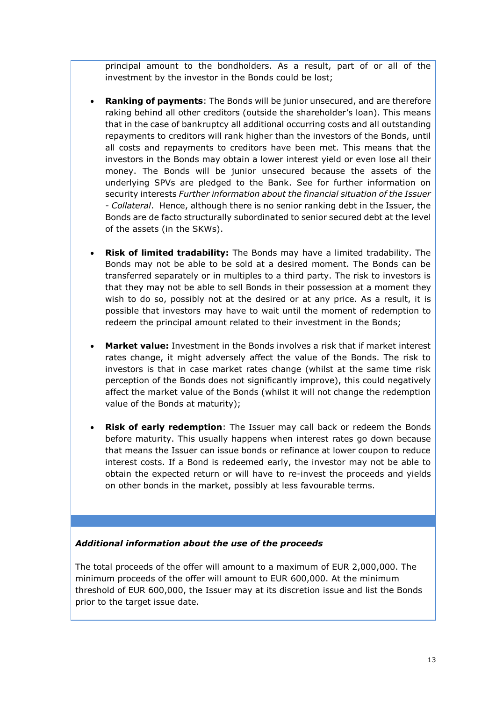principal amount to the bondholders. As a result, part of or all of the investment by the investor in the Bonds could be lost;

- **Ranking of payments**: The Bonds will be junior unsecured, and are therefore raking behind all other creditors (outside the shareholder's loan). This means that in the case of bankruptcy all additional occurring costs and all outstanding repayments to creditors will rank higher than the investors of the Bonds, until all costs and repayments to creditors have been met. This means that the investors in the Bonds may obtain a lower interest yield or even lose all their money. The Bonds will be junior unsecured because the assets of the underlying SPVs are pledged to the Bank. See for further information on security interests *Further information about the financial situation of the Issuer - Collateral*. Hence, although there is no senior ranking debt in the Issuer, the Bonds are de facto structurally subordinated to senior secured debt at the level of the assets (in the SKWs).
- **Risk of limited tradability:** The Bonds may have a limited tradability. The Bonds may not be able to be sold at a desired moment. The Bonds can be transferred separately or in multiples to a third party. The risk to investors is that they may not be able to sell Bonds in their possession at a moment they wish to do so, possibly not at the desired or at any price. As a result, it is possible that investors may have to wait until the moment of redemption to redeem the principal amount related to their investment in the Bonds;
- **Market value:** Investment in the Bonds involves a risk that if market interest rates change, it might adversely affect the value of the Bonds. The risk to investors is that in case market rates change (whilst at the same time risk perception of the Bonds does not significantly improve), this could negatively affect the market value of the Bonds (whilst it will not change the redemption value of the Bonds at maturity);
- **Risk of early redemption**: The Issuer may call back or redeem the Bonds before maturity. This usually happens when interest rates go down because that means the Issuer can issue bonds or refinance at lower coupon to reduce interest costs. If a Bond is redeemed early, the investor may not be able to obtain the expected return or will have to re-invest the proceeds and yields on other bonds in the market, possibly at less favourable terms.

#### *Additional information about the use of the proceeds*

The total proceeds of the offer will amount to a maximum of EUR 2,000,000. The minimum proceeds of the offer will amount to EUR 600,000. At the minimum threshold of EUR 600,000, the Issuer may at its discretion issue and list the Bonds prior to the target issue date.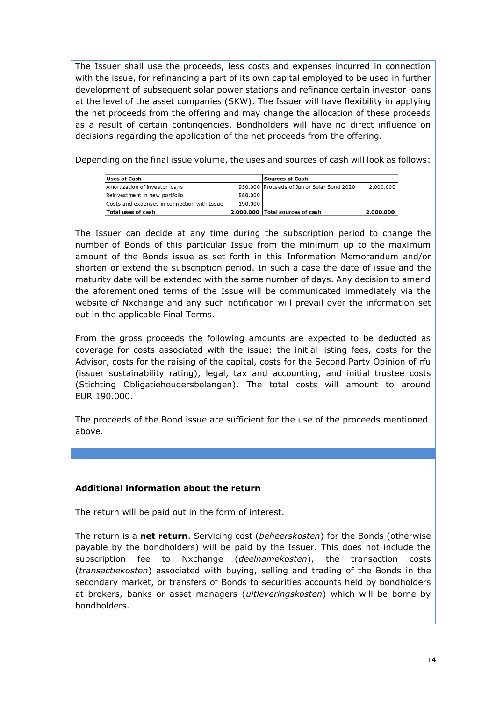The Issuer shall use the proceeds, less costs and expenses incurred in connection with the issue, for refinancing a part of its own capital employed to be used in further development of subsequent solar power stations and refinance certain investor loans at the level of the asset companies (SKW). The Issuer will have flexibility in applying the net proceeds from the offering and may change the allocation of these proceeds as a result of certain contingencies. Bondholders will have no direct influence on decisions regarding the application of the net proceeds from the offering.

Depending on the final issue volume, the uses and sources of cash will look as follows:

| <b>Uses of Cash</b>                         |         | Sources of Cash                            |           |
|---------------------------------------------|---------|--------------------------------------------|-----------|
| Amortization of investor loans              |         | 930,000 Proceeds of Junior Solar Bond 2020 | 2.000.000 |
| Reinvestment in new portfolio               | 880.000 |                                            |           |
| Costs and expenses in connection with Issue | 190.000 |                                            |           |
| Total uses of cash                          |         | 2.000.000 Total sources of cash            | 2.000.000 |

The Issuer can decide at any time during the subscription period to change the number of Bonds of this particular Issue from the minimum up to the maximum amount of the Bonds issue as set forth in this Information Memorandum and/or shorten or extend the subscription period. In such a case the date of issue and the maturity date will be extended with the same number of days. Any decision to amend the aforementioned terms of the Issue will be communicated immediately via the website of Nxchange and any such notification will prevail over the information set out in the applicable Final Terms.

From the gross proceeds the following amounts are expected to be deducted as coverage for costs associated with the issue: the initial listing fees, costs for the Advisor, costs for the raising of the capital, costs for the Second Party Opinion of rfu (issuer sustainability rating), legal, tax and accounting, and initial trustee costs (Stichting Obligatiehoudersbelangen). The total costs will amount to around EUR 190.000.

The proceeds of the Bond issue are sufficient for the use of the proceeds mentioned above.

#### **Additional information about the return**

The return will be paid out in the form of interest.

The return is a **net return**. Servicing cost (*beheerskosten*) for the Bonds (otherwise payable by the bondholders) will be paid by the Issuer. This does not include the subscription fee to Nxchange (*deelnamekosten*), the transaction costs (*transactiekosten*) associated with buying, selling and trading of the Bonds in the secondary market, or transfers of Bonds to securities accounts held by bondholders at brokers, banks or asset managers (*uitleveringskosten*) which will be borne by bondholders.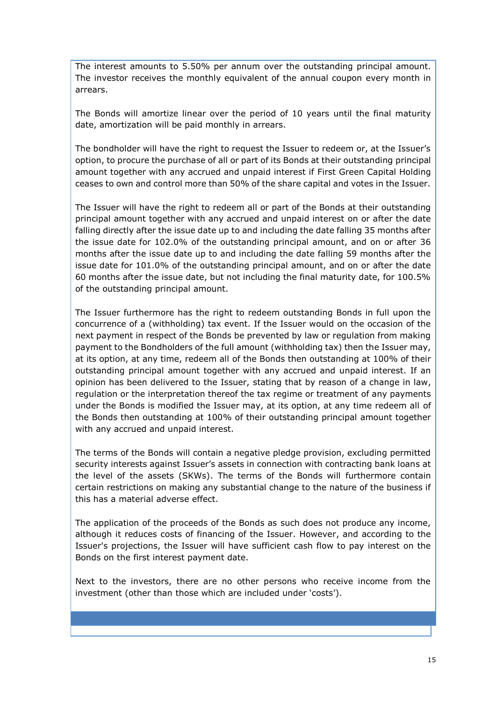The interest amounts to 5.50% per annum over the outstanding principal amount. The investor receives the monthly equivalent of the annual coupon every month in arrears.

The Bonds will amortize linear over the period of 10 years until the final maturity date, amortization will be paid monthly in arrears.

The bondholder will have the right to request the Issuer to redeem or, at the Issuer's option, to procure the purchase of all or part of its Bonds at their outstanding principal amount together with any accrued and unpaid interest if First Green Capital Holding ceases to own and control more than 50% of the share capital and votes in the Issuer.

The Issuer will have the right to redeem all or part of the Bonds at their outstanding principal amount together with any accrued and unpaid interest on or after the date falling directly after the issue date up to and including the date falling 35 months after the issue date for 102.0% of the outstanding principal amount, and on or after 36 months after the issue date up to and including the date falling 59 months after the issue date for 101.0% of the outstanding principal amount, and on or after the date 60 months after the issue date, but not including the final maturity date, for 100.5% of the outstanding principal amount.

The Issuer furthermore has the right to redeem outstanding Bonds in full upon the concurrence of a (withholding) tax event. If the Issuer would on the occasion of the next payment in respect of the Bonds be prevented by law or regulation from making payment to the Bondholders of the full amount (withholding tax) then the Issuer may, at its option, at any time, redeem all of the Bonds then outstanding at 100% of their outstanding principal amount together with any accrued and unpaid interest. If an opinion has been delivered to the Issuer, stating that by reason of a change in law, regulation or the interpretation thereof the tax regime or treatment of any payments under the Bonds is modified the Issuer may, at its option, at any time redeem all of the Bonds then outstanding at 100% of their outstanding principal amount together with any accrued and unpaid interest.

The terms of the Bonds will contain a negative pledge provision, excluding permitted security interests against Issuer's assets in connection with contracting bank loans at the level of the assets (SKWs). The terms of the Bonds will furthermore contain certain restrictions on making any substantial change to the nature of the business if this has a material adverse effect.

The application of the proceeds of the Bonds as such does not produce any income, although it reduces costs of financing of the Issuer. However, and according to the Issuer's projections, the Issuer will have sufficient cash flow to pay interest on the Bonds on the first interest payment date.

Next to the investors, there are no other persons who receive income from the investment (other than those which are included under 'costs').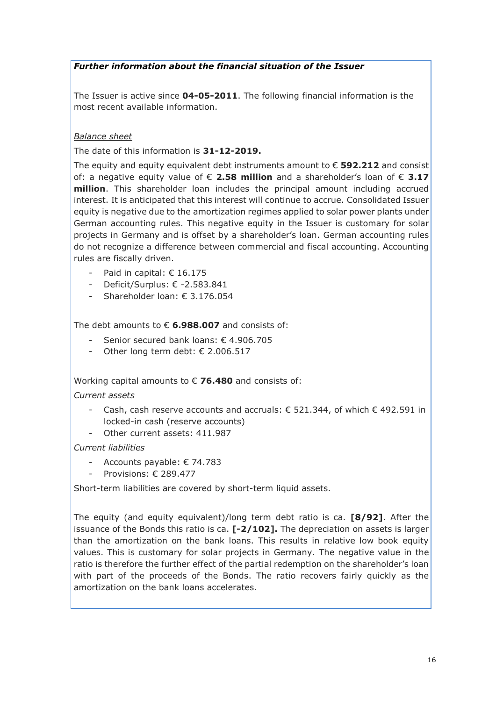# *Further information about the financial situation of the Issuer*

The Issuer is active since **04-05-2011**. The following financial information is the most recent available information.

### *Balance sheet*

The date of this information is **31-12-2019.**

The equity and equity equivalent debt instruments amount to € **592.212** and consist of: a negative equity value of € **2.58 million** and a shareholder's loan of € **3.17 million**. This shareholder loan includes the principal amount including accrued interest. It is anticipated that this interest will continue to accrue. Consolidated Issuer equity is negative due to the amortization regimes applied to solar power plants under German accounting rules. This negative equity in the Issuer is customary for solar projects in Germany and is offset by a shareholder's loan. German accounting rules do not recognize a difference between commercial and fiscal accounting. Accounting rules are fiscally driven.

- Paid in capital:  $\epsilon$  16.175
- Deficit/Surplus: € -2.583.841
- Shareholder loan: € 3.176.054

The debt amounts to € **6.988.007** and consists of:

- Senior secured bank loans: € 4.906.705
- Other long term debt:  $\epsilon$  2.006.517

Working capital amounts to € **76.480** and consists of:

#### *Current assets*

- Cash, cash reserve accounts and accruals: € 521.344, of which € 492.591 in locked-in cash (reserve accounts)
- Other current assets: 411.987

*Current liabilities*

- Accounts payable: € 74.783
- Provisions: € 289.477

Short-term liabilities are covered by short-term liquid assets.

The equity (and equity equivalent)/long term debt ratio is ca. **[8/92]**. After the issuance of the Bonds this ratio is ca. **[-2/102].** The depreciation on assets is larger than the amortization on the bank loans. This results in relative low book equity values. This is customary for solar projects in Germany. The negative value in the ratio is therefore the further effect of the partial redemption on the shareholder's loan with part of the proceeds of the Bonds. The ratio recovers fairly quickly as the amortization on the bank loans accelerates.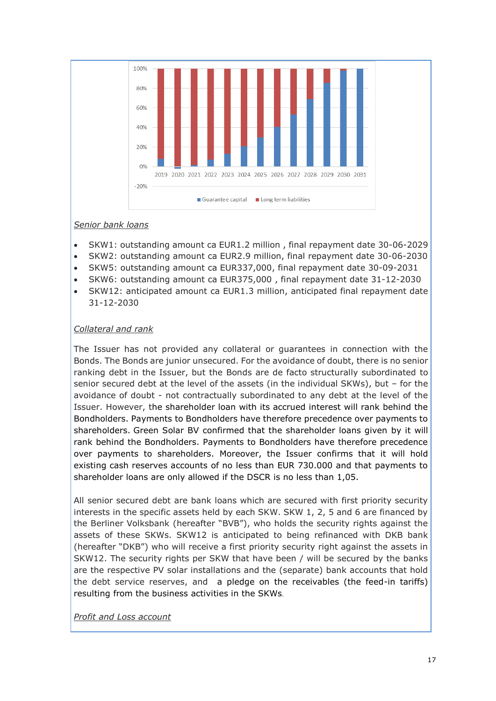

#### *Senior bank loans*

- SKW1: outstanding amount ca EUR1.2 million , final repayment date 30-06-2029
- SKW2: outstanding amount ca EUR2.9 million, final repayment date 30-06-2030
- SKW5: outstanding amount ca EUR337,000, final repayment date 30-09-2031
- SKW6: outstanding amount ca EUR375,000 , final repayment date 31-12-2030
- SKW12: anticipated amount ca EUR1.3 million, anticipated final repayment date 31-12-2030

#### *Collateral and rank*

The Issuer has not provided any collateral or guarantees in connection with the Bonds. The Bonds are junior unsecured. For the avoidance of doubt, there is no senior ranking debt in the Issuer, but the Bonds are de facto structurally subordinated to senior secured debt at the level of the assets (in the individual SKWs), but – for the avoidance of doubt - not contractually subordinated to any debt at the level of the Issuer. However, the shareholder loan with its accrued interest will rank behind the Bondholders. Payments to Bondholders have therefore precedence over payments to shareholders. Green Solar BV confirmed that the shareholder loans given by it will rank behind the Bondholders. Payments to Bondholders have therefore precedence over payments to shareholders. Moreover, the Issuer confirms that it will hold existing cash reserves accounts of no less than EUR 730.000 and that payments to shareholder loans are only allowed if the DSCR is no less than 1,05.

All senior secured debt are bank loans which are secured with first priority security interests in the specific assets held by each SKW. SKW 1, 2, 5 and 6 are financed by the Berliner Volksbank (hereafter "BVB"), who holds the security rights against the assets of these SKWs. SKW12 is anticipated to being refinanced with DKB bank (hereafter "DKB") who will receive a first priority security right against the assets in SKW12. The security rights per SKW that have been / will be secured by the banks are the respective PV solar installations and the (separate) bank accounts that hold the debt service reserves, and a pledge on the receivables (the feed-in tariffs) resulting from the business activities in the SKWs.

*Profit and Loss account*